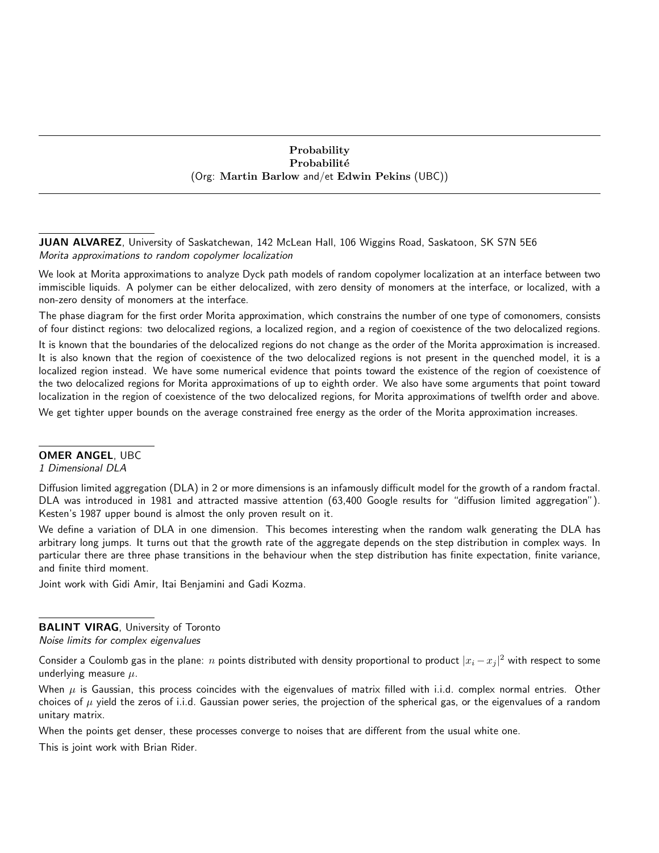## Probability Probabilité (Org: Martin Barlow and/et Edwin Pekins (UBC))

JUAN ALVAREZ, University of Saskatchewan, 142 McLean Hall, 106 Wiggins Road, Saskatoon, SK S7N 5E6 Morita approximations to random copolymer localization

We look at Morita approximations to analyze Dyck path models of random copolymer localization at an interface between two immiscible liquids. A polymer can be either delocalized, with zero density of monomers at the interface, or localized, with a non-zero density of monomers at the interface.

The phase diagram for the first order Morita approximation, which constrains the number of one type of comonomers, consists of four distinct regions: two delocalized regions, a localized region, and a region of coexistence of the two delocalized regions.

It is known that the boundaries of the delocalized regions do not change as the order of the Morita approximation is increased. It is also known that the region of coexistence of the two delocalized regions is not present in the quenched model, it is a localized region instead. We have some numerical evidence that points toward the existence of the region of coexistence of the two delocalized regions for Morita approximations of up to eighth order. We also have some arguments that point toward localization in the region of coexistence of the two delocalized regions, for Morita approximations of twelfth order and above.

We get tighter upper bounds on the average constrained free energy as the order of the Morita approximation increases.

#### OMER ANGEL, UBC

1 Dimensional DLA

Diffusion limited aggregation (DLA) in 2 or more dimensions is an infamously difficult model for the growth of a random fractal. DLA was introduced in 1981 and attracted massive attention (63,400 Google results for "diffusion limited aggregation"). Kesten's 1987 upper bound is almost the only proven result on it.

We define a variation of DLA in one dimension. This becomes interesting when the random walk generating the DLA has arbitrary long jumps. It turns out that the growth rate of the aggregate depends on the step distribution in complex ways. In particular there are three phase transitions in the behaviour when the step distribution has finite expectation, finite variance, and finite third moment.

Joint work with Gidi Amir, Itai Benjamini and Gadi Kozma.

BALINT VIRAG, University of Toronto Noise limits for complex eigenvalues

Consider a Coulomb gas in the plane:  $n$  points distributed with density proportional to product  $|x_i - x_j|^2$  with respect to some underlying measure  $\mu$ .

When  $\mu$  is Gaussian, this process coincides with the eigenvalues of matrix filled with i.i.d. complex normal entries. Other choices of  $\mu$  yield the zeros of i.i.d. Gaussian power series, the projection of the spherical gas, or the eigenvalues of a random unitary matrix.

When the points get denser, these processes converge to noises that are different from the usual white one.

This is joint work with Brian Rider.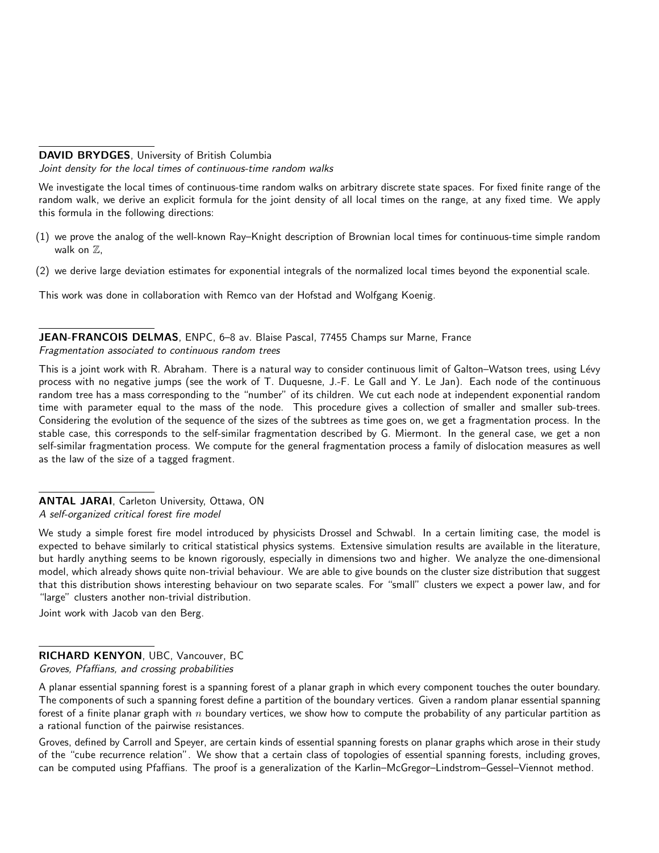## DAVID BRYDGES, University of British Columbia

Joint density for the local times of continuous-time random walks

We investigate the local times of continuous-time random walks on arbitrary discrete state spaces. For fixed finite range of the random walk, we derive an explicit formula for the joint density of all local times on the range, at any fixed time. We apply this formula in the following directions:

- (1) we prove the analog of the well-known Ray–Knight description of Brownian local times for continuous-time simple random walk on  $\mathbb{Z}$ ,
- (2) we derive large deviation estimates for exponential integrals of the normalized local times beyond the exponential scale.

This work was done in collaboration with Remco van der Hofstad and Wolfgang Koenig.

# JEAN-FRANCOIS DELMAS, ENPC, 6–8 av. Blaise Pascal, 77455 Champs sur Marne, France

Fragmentation associated to continuous random trees

This is a joint work with R. Abraham. There is a natural way to consider continuous limit of Galton–Watson trees, using Lévy process with no negative jumps (see the work of T. Duquesne, J.-F. Le Gall and Y. Le Jan). Each node of the continuous random tree has a mass corresponding to the "number" of its children. We cut each node at independent exponential random time with parameter equal to the mass of the node. This procedure gives a collection of smaller and smaller sub-trees. Considering the evolution of the sequence of the sizes of the subtrees as time goes on, we get a fragmentation process. In the stable case, this corresponds to the self-similar fragmentation described by G. Miermont. In the general case, we get a non self-similar fragmentation process. We compute for the general fragmentation process a family of dislocation measures as well as the law of the size of a tagged fragment.

ANTAL JARAI, Carleton University, Ottawa, ON A self-organized critical forest fire model

We study a simple forest fire model introduced by physicists Drossel and Schwabl. In a certain limiting case, the model is expected to behave similarly to critical statistical physics systems. Extensive simulation results are available in the literature, but hardly anything seems to be known rigorously, especially in dimensions two and higher. We analyze the one-dimensional model, which already shows quite non-trivial behaviour. We are able to give bounds on the cluster size distribution that suggest that this distribution shows interesting behaviour on two separate scales. For "small" clusters we expect a power law, and for "large" clusters another non-trivial distribution.

Joint work with Jacob van den Berg.

# RICHARD KENYON, UBC, Vancouver, BC

Groves, Pfaffians, and crossing probabilities

A planar essential spanning forest is a spanning forest of a planar graph in which every component touches the outer boundary. The components of such a spanning forest define a partition of the boundary vertices. Given a random planar essential spanning forest of a finite planar graph with n boundary vertices, we show how to compute the probability of any particular partition as a rational function of the pairwise resistances.

Groves, defined by Carroll and Speyer, are certain kinds of essential spanning forests on planar graphs which arose in their study of the "cube recurrence relation". We show that a certain class of topologies of essential spanning forests, including groves, can be computed using Pfaffians. The proof is a generalization of the Karlin–McGregor–Lindstrom–Gessel–Viennot method.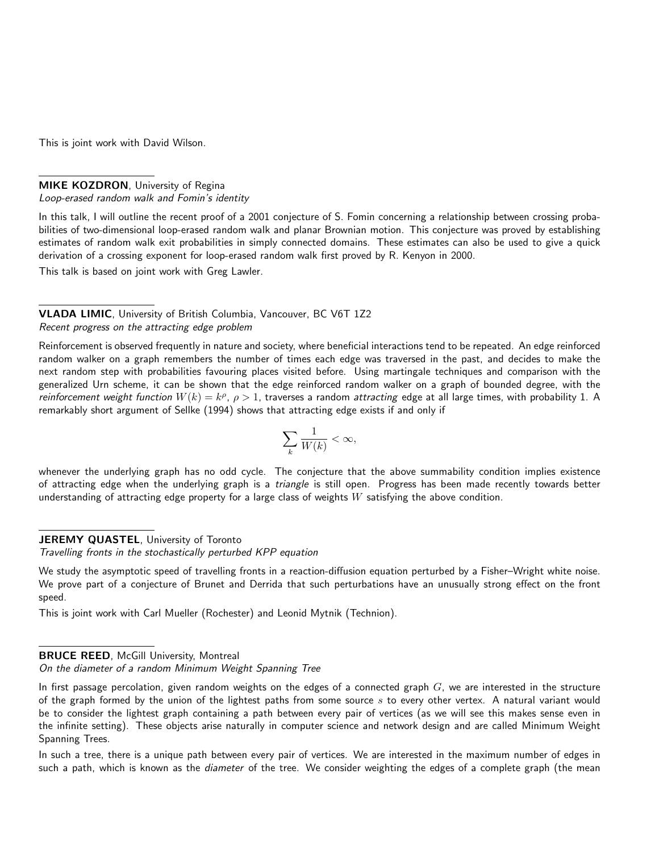This is joint work with David Wilson.

### MIKE KOZDRON, University of Regina Loop-erased random walk and Fomin's identity

In this talk, I will outline the recent proof of a 2001 conjecture of S. Fomin concerning a relationship between crossing probabilities of two-dimensional loop-erased random walk and planar Brownian motion. This conjecture was proved by establishing estimates of random walk exit probabilities in simply connected domains. These estimates can also be used to give a quick derivation of a crossing exponent for loop-erased random walk first proved by R. Kenyon in 2000.

This talk is based on joint work with Greg Lawler.

VLADA LIMIC, University of British Columbia, Vancouver, BC V6T 1Z2 Recent progress on the attracting edge problem

Reinforcement is observed frequently in nature and society, where beneficial interactions tend to be repeated. An edge reinforced random walker on a graph remembers the number of times each edge was traversed in the past, and decides to make the next random step with probabilities favouring places visited before. Using martingale techniques and comparison with the generalized Urn scheme, it can be shown that the edge reinforced random walker on a graph of bounded degree, with the reinforcement weight function  $W(k) = k^{\rho}$ ,  $\rho > 1$ , traverses a random attracting edge at all large times, with probability 1. A remarkably short argument of Sellke (1994) shows that attracting edge exists if and only if

$$
\sum_{k} \frac{1}{W(k)} < \infty,
$$

whenever the underlying graph has no odd cycle. The conjecture that the above summability condition implies existence of attracting edge when the underlying graph is a triangle is still open. Progress has been made recently towards better understanding of attracting edge property for a large class of weights  $W$  satisfying the above condition.

## JEREMY QUASTEL, University of Toronto

Travelling fronts in the stochastically perturbed KPP equation

We study the asymptotic speed of travelling fronts in a reaction-diffusion equation perturbed by a Fisher–Wright white noise. We prove part of a conjecture of Brunet and Derrida that such perturbations have an unusually strong effect on the front speed.

This is joint work with Carl Mueller (Rochester) and Leonid Mytnik (Technion).

#### BRUCE REED, McGill University, Montreal

On the diameter of a random Minimum Weight Spanning Tree

In first passage percolation, given random weights on the edges of a connected graph  $G$ , we are interested in the structure of the graph formed by the union of the lightest paths from some source  $s$  to every other vertex. A natural variant would be to consider the lightest graph containing a path between every pair of vertices (as we will see this makes sense even in the infinite setting). These objects arise naturally in computer science and network design and are called Minimum Weight Spanning Trees.

In such a tree, there is a unique path between every pair of vertices. We are interested in the maximum number of edges in such a path, which is known as the diameter of the tree. We consider weighting the edges of a complete graph (the mean